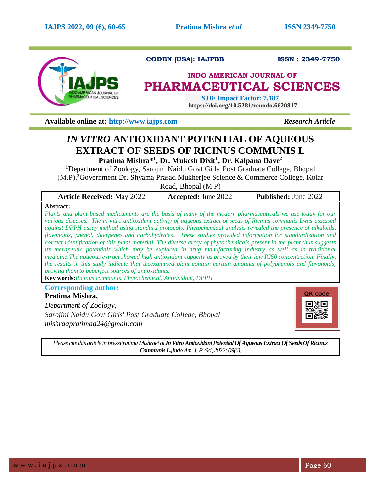

**CODEN [USA]: IAJPBB ISSN : 2349-7750** 

# **INDO AMERICAN JOURNAL OF PHARMACEUTICAL SCIENCES**

 **SJIF Impact Factor: 7.187 https://doi.org/10.5281/zenodo.6620817**

**Available online at: [http://www.iajps.com](http://www.iajps.com/)** *Research Article*

# *IN VITRO* **ANTIOXIDANT POTENTIAL OF AQUEOUS EXTRACT OF SEEDS OF RICINUS COMMUNIS L**

**Pratima Mishra\* 1 , Dr. Mukesh Dixit<sup>1</sup> , Dr. Kalpana Dave<sup>2</sup>**

<sup>1</sup>Department of Zoology, Sarojini Naidu Govt Girls' Post Graduate College, Bhopal (M.P), <sup>2</sup>Government Dr. Shyama Prasad Mukherjee Science & Commerce College, Kolar Road, Bhopal (M.P)

| <b>Article Received: May 2022</b> | <b>Accepted: June 2022</b> | <b>Published:</b> June 2022 |
|-----------------------------------|----------------------------|-----------------------------|
| Abstract:                         |                            |                             |

*Plants and plant-based medicaments are the basis of many of the modern pharmaceuticals we use today for our various diseases. The in vitro antioxidant activity of aqueous extract of seeds of Ricinus communis Lwas assessed against DPPH assay method using standard protocols. Phytochemical analysis revealed the presence of alkaloids, flavonoids, phenol, diterpenes and carbohydrates. These studies provided information for standardization and correct identification of this plant material. The diverse array of phytochemicals present in the plant thus suggests*  its therapeutic potentials which may be explored in drug manufacturing industry as well as in traditional *medicine.The aqueous extract showed high antioxidant capacity as proved by their low IC50 concentration. Finally, the results in this study indicate that theexamined plant contain certain amounts of polyphenols and flavonoids, proving them to beperfect sources of antioxidants.*

**Key words:***Ricinus communis, Phytochemical, Antioxidant, DPPH*

**Corresponding author:** 

# **Pratima Mishra,**

*Department of Zoology, Sarojini Naidu Govt Girls' Post Graduate College, Bhopal mishraapratimaa24@gmail.com*



*Please cite this article in pressPratima Mishraet al,In Vitro Antioxidant Potential Of Aqueous Extract Of Seeds Of Ricinus Communis L.,Indo Am. J. P. Sci, 2022; 09(6).*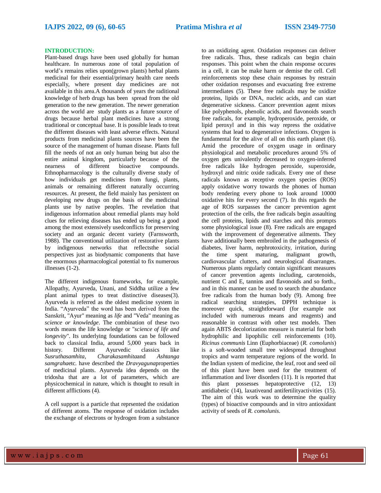#### **INTRODUCTION:**

Plant-based drugs have been used globally for human healthcare. In numerous zone of total population of world's remains relies upon(grown plants) herbal plants medicinal for their essential/primary health care needs especially, where present day medicines are not available in this area.A thousands of years the raditional knowledge of herb drugs has been spread from the old generation to the new generation. The newer generation across the world are study plants as a future source of drugs because herbal plant medicines have a strong traditional or conceptual base. It is possible leads to treat the different diseases with least adverse effects. Natural products from medicinal plants sources have been the source of the management of human disease. Plants full fill the needs of not an only human being but also the entire animal kingdom, particularly because of the nearness of different bioactive compounds. Ethnopharmacology is the culturally diverse study of how individuals get medicines from fungi, plants, animals or remaining different naturally occurring resources. At present, the field mainly has persistent on developing new drugs on the basis of the medicinal plants use by native peoples. The revelation that indigenous information about remedial plants may hold clues for relieving diseases has ended up being a good among the most extensively usedconflicts for preserving society and an organic decent variety (Farnsworth, 1988). The conventional utilization of restorative plants by indigenous networks that reflectsthe social perspectives just as biodynamic components that have the enormous pharmacological potential to fix numerous illnesses (1-2).

The different indigenous frameworks, for example, Allopathy, Ayurveda, Unani, and Siddha utilize a few plant animal types to treat distinctive diseases(3). Ayurveda is referred as the oldest medicine system in India. "Ayurveda" the word has been derived from the Sanskrit, "Ayur" meaning as *life* and "Veda" meaning as *science or knowledge*. The combination of these two words means the life knowledge or "*science of life and longevity*". Its underlying foundations can be followed back to classical India, around 5,000 years back in history. Different Ayurvedic classics like *Susruthasamhita*, *Charakasamhita*and *Ashtanga samgraha*etc. have described the *Dravyaguna*properties of medicinal plants. Ayurveda idea depends on the tridosha that are a lot of parameters, which are physicochemical in nature, which is thought to result in different afflictions (4).

A cell support is a particle that reprsented the oxidation of different atoms. The response of oxidation includes the exchange of electrons or hydrogen from a substance

to an oxidizing agent. Oxidation responses can deliver free radicals. Thus, these radicals can begin chain responses. This point when the chain response occures in a cell, it can be make harm or demise the cell. Cell reinforcements stop these chain responses by restrain other oxidation responses and evacuating free extreme intermediates (5). These free radicals may be oxidize proteins, lipids or DNA, nucleic acids, and can start degenerative sickness. Cancer prevention agent mixes like polyphenols, phenolic acids, and flavonoids search free radicals, for example, hydroperoxide, peroxide, or lipid peroxyl and in this way repress the oxidative systems that lead to degenerative infections. Oxygen is fundamental for the alive of all on this earth planet (6). Amid the procedure of oxygen usage in ordinary physiological and metabolic procedures around 5% of oxygen gets univalently decreased to oxygen-inferred free radicals like hydrogen peroxide, superoxide, hydroxyl and nitric oxide radicals. Every one of these radicals known as receptive oxygen species (ROS) apply oxidative worry towards the phones of human body rendering every phone to look around 10000 oxidative hits for every second (7). In this regards the age of ROS surpasses the cancer prevention agent protection of the cells, the free radicals begin assaulting the cell proteins, lipids and starches and this prompts some physiological issue (8). Free radicals are engaged with the improvement of degenerative ailments. They have additionally been embroiled in the pathogenesis of diabetes, liver harm, nephrotoxicity, irritation, during the time spent maturing, malignant growth, cardiovascular clutters, and neurological disarranges. Numerous plants regularly contain significant measures of cancer prevention agents including, carotenoids, nutrient C and E, tannins and flavonoids and so forth., and in this manner can be used to search the abundance free radicals from the human body (9). Among free radical searching strategies, DPPH technique is moreover quick, straightforward (for example not included with numerous means and reagents) and reasonable in contrast with other test models. Then again ABTS decolorization measure is material for both hydrophilic and lipophilic cell reinforcements (10). *Ricinus communis* Linn (Euphorbiaceae) (*R. comolunis*) is a soft-wooded small tree widespread throughout tropics and warm temperature regions of the world. In the Indian system of medicine, the leaf, root and seed oil of this plant have been used for the treatment of inflammation and liver disorders (11). It is reported that this plant possesses hepatoprotective (12, 13) antidiabetic (14), laxativeand antifertilityactivities (15). The aim of this work was to determine the quality (types) of bioactive compounds and in vitro antioxidant activity of seeds of *R. comolunis*.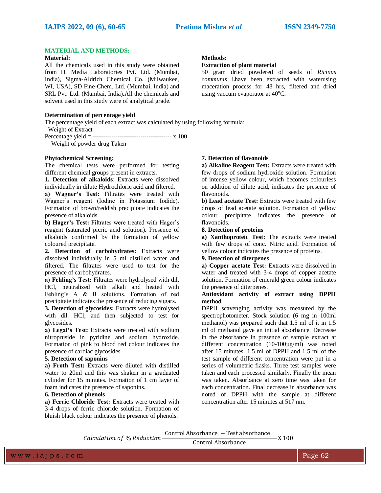#### **MATERIAL AND METHODS:**

# **Material:**

All the chemicals used in this study were obtained from Hi Media Laboratories Pvt. Ltd. (Mumbai, India), Sigma-Aldrich Chemical Co. (Milwaukee, WI, USA), SD Fine-Chem. Ltd. (Mumbai, India) and SRL Pvt. Ltd. (Mumbai, India).All the chemicals and solvent used in this study were of analytical grade.

#### **Determination of percentage yield**

The percentage yield of each extract was calculated by using following formula: Weight of Extract Percentage yield = -------------------------------------- x 100

Weight of powder drug Taken

# **Phytochemical Screening:**

The chemical tests were performed for testing different chemical groups present in extracts.

**1. Detection of alkaloids**: Extracts were dissolved individually in dilute Hydrochloric acid and filtered.

**a) Wagner's Test:** Filtrates were treated with Wagner's reagent (Iodine in Potassium Iodide). Formation of brown/reddish precipitate indicates the presence of alkaloids.

**b) Hager's Test:** Filtrates were treated with Hager's reagent (saturated picric acid solution). Presence of alkaloids confirmed by the formation of yellow coloured precipitate.

**2. Detection of carbohydrates:** Extracts were dissolved individually in 5 ml distilled water and filtered. The filtrates were used to test for the presence of carbohydrates.

**a) Fehling's Test:** Filtrates were hydrolysed with dil. HCl, neutralized with alkali and heated with Fehling's A & B solutions. Formation of red precipitate indicates the presence of reducing sugars.

**3. Detection of glycosides:** Extracts were hydrolysed with dil. HCl, and then subjected to test for glycosides.

**a) Legal's Test:** Extracts were treated with sodium nitropruside in pyridine and sodium hydroxide. Formation of pink to blood red colour indicates the presence of cardiac glycosides.

#### **5. Detection of saponins**

**a) Froth Test:** Extracts were diluted with distilled water to 20ml and this was shaken in a graduated cylinder for 15 minutes. Formation of 1 cm layer of foam indicates the presence of saponins.

# **6. Detection of phenols**

**a) Ferric Chloride Test:** Extracts were treated with 3-4 drops of ferric chloride solution. Formation of bluish black colour indicates the presence of phenols.

# **Methods:**

#### **Extraction of plant material**

50 gram dried powdered of seeds of *Ricinus communis* Lhave been extracted with waterusing maceration process for 48 hrs, filtered and dried using vaccum evaporator at  $40^{\circ}$ C.

# **7. Detection of flavonoids**

**a) Alkaline Reagent Test:** Extracts were treated with few drops of sodium hydroxide solution. Formation of intense yellow colour, which becomes colourless on addition of dilute acid, indicates the presence of flavonoids.

**b) Lead acetate Test:** Extracts were treated with few drops of lead acetate solution. Formation of yellow colour precipitate indicates the presence of flavonoids.

# **8. Detection of proteins**

**a) Xanthoproteic Test:** The extracts were treated with few drops of conc. Nitric acid. Formation of yellow colour indicates the presence of proteins.

# **9. Detection of diterpenes**

**a) Copper acetate Test:** Extracts were dissolved in water and treated with 3-4 drops of copper acetate solution. Formation of emerald green colour indicates the presence of diterpenes.

# **Antioxidant activity of extract using DPPH method**

DPPH scavenging activity was measured by the spectrophotometer. Stock solution (6 mg in 100ml methanol) was prepared such that 1.5 ml of it in 1.5 ml of methanol gave an initial absorbance. Decrease in the absorbance in presence of sample extract at different concentration (10-100µg/ml) was noted after 15 minutes. 1.5 ml of DPPH and 1.5 ml of the test sample of different concentration were put in a series of volumetric flasks. Three test samples were taken and each processed similarly. Finally the mean was taken. Absorbance at zero time was taken for each concentration. Final decrease in absorbance was noted of DPPH with the sample at different concentration after 15 minutes at 517 nm.

Calculation of % Reduction Control Absorbance – Test absorbance<br>Control Absorbance – X 100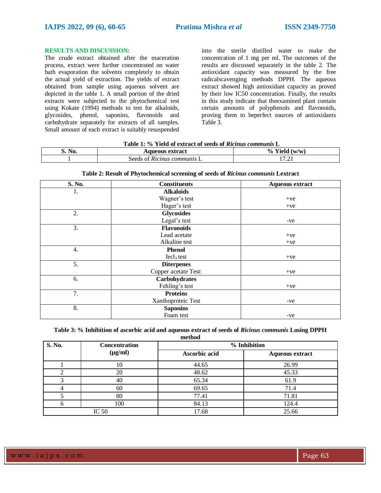#### **RESULTS AND DISCUSSION:**

The crude extract obtained after the maceration process, extract were further concentrated on water bath evaporation the solvents completely to obtain the actual yield of extraction. The yields of extract obtained from sample using aqueous solvent are depicted in the table 1. A small portion of the dried extracts were subjected to the phytochemical test using Kokate (1994) methods to test for alkaloids, glycosides, phenol, saponins, flavonoids and carbohydrate separately for extracts of all samples. Small amount of each extract is suitably resuspended

into the sterile distilled water to make the concentration of 1 mg per ml. The outcomes of the results are discussed separately in the table 2. The antioxidant capacity was measured by the free radicalscavenging methods DPPH. The aqueous extract showed high antioxidant capacity as proved by their low IC50 concentration. Finally, the results in this study indicate that theexamined plant contain certain amounts of polyphenols and flavonoids, proving them to beperfect sources of antioxidants Table 3.

| Table 1: % Yield of extract of seeds of <i>Ricinus communis</i> L |  |
|-------------------------------------------------------------------|--|
|-------------------------------------------------------------------|--|

| No. | Aqueous extract                    | $\frac{0}{0}$<br>Y ield<br>$(\mathbf{W}/\mathbf{W})$ |
|-----|------------------------------------|------------------------------------------------------|
|     | Seeds of <i>Ricinus communis</i> L | $\cdots$                                             |

| S. No.           | <b>Constituents</b>    | <b>Aqueous extract</b> |
|------------------|------------------------|------------------------|
| 1.               | <b>Alkaloids</b>       |                        |
|                  | Wagner's test          | $+ve$                  |
|                  | Hager's test           | $+ve$                  |
| 2.               | <b>Glycosides</b>      |                        |
|                  | Legal's test           | -ve                    |
| 3.               | <b>Flavonoids</b>      |                        |
|                  | Lead acetate           | $+ve$                  |
|                  | Alkaline test          | $+ve$                  |
| $\overline{4}$ . | <b>Phenol</b>          |                        |
|                  | fecl <sub>3</sub> test | $+ve$                  |
| 5.               | <b>Diterpenes</b>      |                        |
|                  | Copper acetate Test:   | $+ve$                  |
| 6.               | Carbohydrates          |                        |
|                  | Fehling's test         | $+ve$                  |
| 7.               | <b>Proteins</b>        |                        |
|                  | Xanthoproteic Test     | -ve                    |
| 8.               | <b>Saponins</b>        |                        |
|                  | Foam test              | -ve                    |

|  |  |  |  | Table 2: Result of Phytochemical screening of seeds of Ricinus communis Lextract |  |
|--|--|--|--|----------------------------------------------------------------------------------|--|
|  |  |  |  |                                                                                  |  |

**Table 3: % Inhibition of ascorbic acid and aqueous extract of seeds of** *Ricinus communis* **Lusing DPPH method**

| S. No. | <b>Concentration</b> | % Inhibition  |                        |  |  |  |
|--------|----------------------|---------------|------------------------|--|--|--|
|        | $(\mu g/ml)$         | Ascorbic acid | <b>Aqueous extract</b> |  |  |  |
|        | 10                   | 44.65         | 26.99                  |  |  |  |
| ↑      | 20                   | 48.62         | 45.33                  |  |  |  |
| 3      | 40                   | 65.34         | 61.9                   |  |  |  |
| 4      | 60                   | 69.65         | 71.4                   |  |  |  |
|        | 80                   | 77.41         | 71.81                  |  |  |  |
| 6      | 100                  | 84.13         | 124.4                  |  |  |  |
|        | IC $50$              | 17.68         | 25.66                  |  |  |  |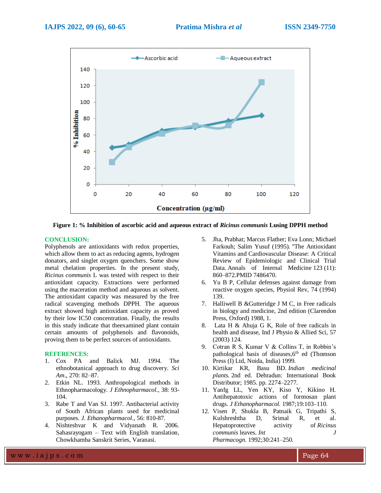

**Figure 1: % Inhibition of ascorbic acid and aqueous extract of** *Ricinus communis* **Lusing DPPH method**

#### **CONCLUSION:**

Polyphenols are antioxidants with redox properties, which allow them to act as reducing agents, hydrogen donators, and singlet oxygen quenchers. Some show metal chelation properties. In the present study, *Ricinus communis* L was tested with respect to their antioxidant capacity. Extractions were performed using the maceration method and aqueous as solvent. The antioxidant capacity was measured by the free radical scavenging methods DPPH. The aqueous extract showed high antioxidant capacity as proved by their low IC50 concentration. Finally, the results in this study indicate that theexamined plant contain certain amounts of polyphenols and flavonoids, proving them to be perfect sources of antioxidants.

#### **REFERENCES:**

- 1. Cox PA and Balick MJ. 1994. The ethnobotanical approach to drug discovery. *Sci Am*., 270: 82–87.
- 2. Etkin NL. 1993. Anthropological methods in Ethnopharmacology. *J Ethnopharmacol*., 38: 93- 104.
- 3. Rabe T and Van SJ. 1997. Antibacterial activity of South African plants used for medicinal purposes. *J. Ethanopharmacol.,* 56: 810-87.
- 4. Nishteshvar K and Vidyanath R. 2006. Sahasrayogam – Text with English translation, Chowkhamba Sanskrit Series, Varanasi.
- 5. Jha, Prabhat; Marcus Flather; Eva Lonn; Michael Farkouh; Salim Yusuf (1995). "The Antioxidant Vitamins and Cardiovascular Disease: A Critical Review of Epidemiologic and Clinical Trial Data. Annals of Internal Medicine 123 (11): 860–872.PMID 7486470.
- 6. Yu B P, Cellular defenses against damage from reactive oxygen species, Physiol Rev, 74 (1994) 139.
- 7. Halliwell B &Gutteridge J M C, in Free radicals in biology and medicine, 2nd edition (Clarendon Press, Oxford) 1988, 1.
- 8. Lata H & Ahuja G K, Role of free radicals in health and disease, Ind J Physio & Allied Sci, 57 (2003) 124.
- 9. Cotran R S, Kumar V & Collins T, in Robbin's pathological basis of diseases,  $6<sup>th</sup>$  ed (Thomson Press (I) Ltd, Noida, India) 1999.
- 10. Kirtikar KR, Basu BD. *Indian medicinal plants.* 2nd ed. Dehradun: International Book Distributor; 1985. pp. 2274–2277.
- 11. Yanfg LL, Yen KY, Kiso Y, Kikino H. Antihepatotoxic actions of formosan plant drugs. *J Ethanopharmacol.* 1987;19:103–110.
- 12. Visen P, Shukla B, Patnaik G, Tripathi S, Kulshreshtha D, Srimal R, et al. Hepatoprotective activity of *Ricinus communis* leaves. *Int J Pharmacogn.* 1992;30:241–250.